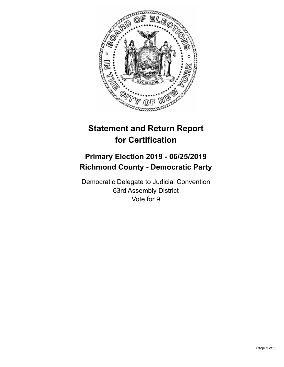

# **Statement and Return Report for Certification**

## **Primary Election 2019 - 06/25/2019 Richmond County - Democratic Party**

Democratic Delegate to Judicial Convention 63rd Assembly District Vote for 9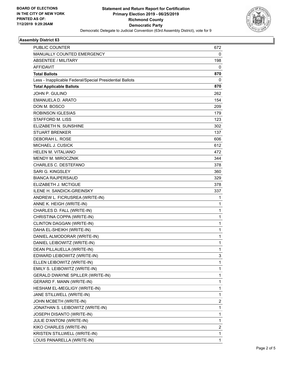

## **Assembly District 63**

| PUBLIC COUNTER                                           | 672  |
|----------------------------------------------------------|------|
| MANUALLY COUNTED EMERGENCY                               | 0    |
| <b>ABSENTEE / MILITARY</b>                               | 198  |
| <b>AFFIDAVIT</b>                                         | 0    |
| <b>Total Ballots</b>                                     | 870  |
| Less - Inapplicable Federal/Special Presidential Ballots | 0    |
| <b>Total Applicable Ballots</b>                          | 870  |
| JOHN P. GULINO                                           | 262  |
| <b>EMANUELA D. ARATO</b>                                 | 154  |
| DON M. BOSCO                                             | 209  |
| <b>ROBINSON IGLESIAS</b>                                 | 179  |
| STAFFORD M. LISS                                         | 123  |
| ELIZABETH N. SUNSHINE                                    | 302  |
| <b>STUART BRENKER</b>                                    | 137  |
| DEBORAH L. ROSE                                          | 606  |
| MICHAEL J. CUSICK                                        | 612  |
| <b>HELEN M. VITALIANO</b>                                | 472. |
| <b>MENDY M. MIROCZNIK</b>                                | 344  |
| <b>CHARLES C. DESTEFANO</b>                              | 378  |
| <b>SARI G. KINGSLEY</b>                                  | 360  |
| <b>BIANCA RAJPERSAUD</b>                                 | 329  |
| ELIZABETH J. MCTIGUE                                     | 378  |
| ILENE H. SANDICK-GREINSKY                                | 337  |
| ANDREW L. FICRUSREA (WRITE-IN)                           | 1    |
| ANNE K. HEIGH (WRITE-IN)                                 | 1    |
| CHARLES D. FALL (WRITE-IN)                               | 1    |
| CHRISTINA COPPA (WRITE-IN)                               | 1    |
| CLINTON DAGGAN (WRITE-IN)                                | 1    |
| DAHA EL-SHEIKH (WRITE-IN)                                | 1    |
| DANIEL ALMODORAR (WRITE-IN)                              | 1    |
| DANIEL LEIBOWITZ (WRITE-IN)                              | 1    |
| DEAN PILLAUELLA (WRITE-IN)                               | 1    |
| EDWARD LEIBOWITZ (WRITE-IN)                              | 3    |
| ELLEN LEIBOWITZ (WRITE-IN)                               | 1    |
| EMILY S. LEIBOWITZ (WRITE-IN)                            | 1    |
| GERALD DWAYNE SPILLER (WRITE-IN)                         | 1    |
| GERARD F. MANN (WRITE-IN)                                | 1    |
| HESHAM EL-MEGLIGY (WRITE-IN)                             | 1    |
| JANE STILLWELL (WRITE-IN)                                | 1    |
| JOHN MCBETH (WRITE-IN)                                   | 2    |
| JONATHAN S. LEIBOWITZ (WRITE-IN)                         | 1    |
| JOSEPH DISANTO (WRITE-IN)                                | 1    |
| JULIE D'ANTONI (WRITE-IN)                                | 1    |
| KIKO CHARLES (WRITE-IN)                                  | 2    |
| KRISTEN STILLWELL (WRITE-IN)                             | 1    |
| LOUIS PANARELLA (WRITE-IN)                               | 1    |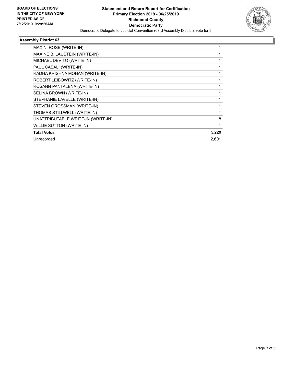

## **Assembly District 63**

| MAX N. ROSE (WRITE-IN)             |       |
|------------------------------------|-------|
| MAXINE B. LAUSTEIN (WRITE-IN)      |       |
| MICHAEL DEVITO (WRITE-IN)          |       |
| PAUL CASALI (WRITE-IN)             |       |
| RADHA KRISHNA MOHAN (WRITE-IN)     |       |
| ROBERT LEIBOWITZ (WRITE-IN)        |       |
| ROSANN PANTALENA (WRITE-IN)        |       |
| SELINA BROWN (WRITE-IN)            |       |
| STEPHANIE LAVELLE (WRITE-IN)       |       |
| STEVEN GROSSMAN (WRITE-IN)         |       |
| THOMAS STILLWELL (WRITE-IN)        |       |
| UNATTRIBUTABLE WRITE-IN (WRITE-IN) | 8     |
| <b>WILLIE SUTTON (WRITE-IN)</b>    |       |
| <b>Total Votes</b>                 | 5,229 |
| Unrecorded                         | 2,601 |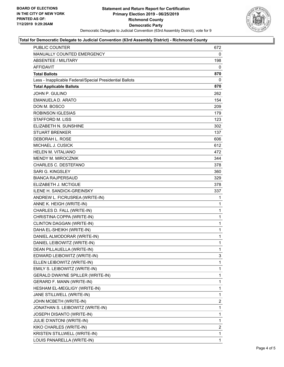

#### **Total for Democratic Delegate to Judicial Convention (63rd Assembly District) - Richmond County**

| PUBLIC COUNTER                                           | 672            |
|----------------------------------------------------------|----------------|
| <b>MANUALLY COUNTED EMERGENCY</b>                        | 0              |
| <b>ABSENTEE / MILITARY</b>                               | 198            |
| AFFIDAVIT                                                | 0              |
| <b>Total Ballots</b>                                     | 870            |
| Less - Inapplicable Federal/Special Presidential Ballots | 0              |
| <b>Total Applicable Ballots</b>                          | 870            |
| JOHN P. GULINO                                           | 262            |
| EMANUELA D. ARATO                                        | 154            |
| DON M. BOSCO                                             | 209            |
| <b>ROBINSON IGLESIAS</b>                                 | 179            |
| <b>STAFFORD M. LISS</b>                                  | 123            |
| ELIZABETH N. SUNSHINE                                    | 302            |
| <b>STUART BRENKER</b>                                    | 137            |
| DEBORAH L. ROSE                                          | 606            |
| MICHAEL J. CUSICK                                        | 612            |
| <b>HELEN M. VITALIANO</b>                                | 472            |
| <b>MENDY M. MIROCZNIK</b>                                | 344            |
| <b>CHARLES C. DESTEFANO</b>                              | 378            |
| <b>SARI G. KINGSLEY</b>                                  | 360            |
| <b>BIANCA RAJPERSAUD</b>                                 | 329            |
| ELIZABETH J. MCTIGUE                                     | 378            |
| <b>ILENE H. SANDICK-GREINSKY</b>                         | 337            |
| ANDREW L. FICRUSREA (WRITE-IN)                           | 1              |
| ANNE K. HEIGH (WRITE-IN)                                 | 1              |
| CHARLES D. FALL (WRITE-IN)                               | $\mathbf{1}$   |
| CHRISTINA COPPA (WRITE-IN)                               | 1              |
| CLINTON DAGGAN (WRITE-IN)                                | 1              |
| DAHA EL-SHEIKH (WRITE-IN)                                | 1              |
| DANIEL ALMODORAR (WRITE-IN)                              | 1              |
| DANIEL LEIBOWITZ (WRITE-IN)                              | $\mathbf{1}$   |
| DEAN PILLAUELLA (WRITE-IN)                               | 1              |
| EDWARD LEIBOWITZ (WRITE-IN)                              | 3              |
| ELLEN LEIBOWITZ (WRITE-IN)                               | 1              |
| EMILY S. LEIBOWITZ (WRITE-IN)                            | 1              |
| GERALD DWAYNE SPILLER (WRITE-IN)                         | 1              |
| GERARD F. MANN (WRITE-IN)                                | 1              |
| HESHAM EL-MEGLIGY (WRITE-IN)                             | 1              |
| JANE STILLWELL (WRITE-IN)                                | 1              |
| JOHN MCBETH (WRITE-IN)                                   | $\overline{2}$ |
| JONATHAN S. LEIBOWITZ (WRITE-IN)                         | 1              |
| JOSEPH DISANTO (WRITE-IN)                                | 1              |
| JULIE D'ANTONI (WRITE-IN)                                | 1              |
| KIKO CHARLES (WRITE-IN)                                  | $\overline{2}$ |
| KRISTEN STILLWELL (WRITE-IN)                             | 1              |
|                                                          |                |